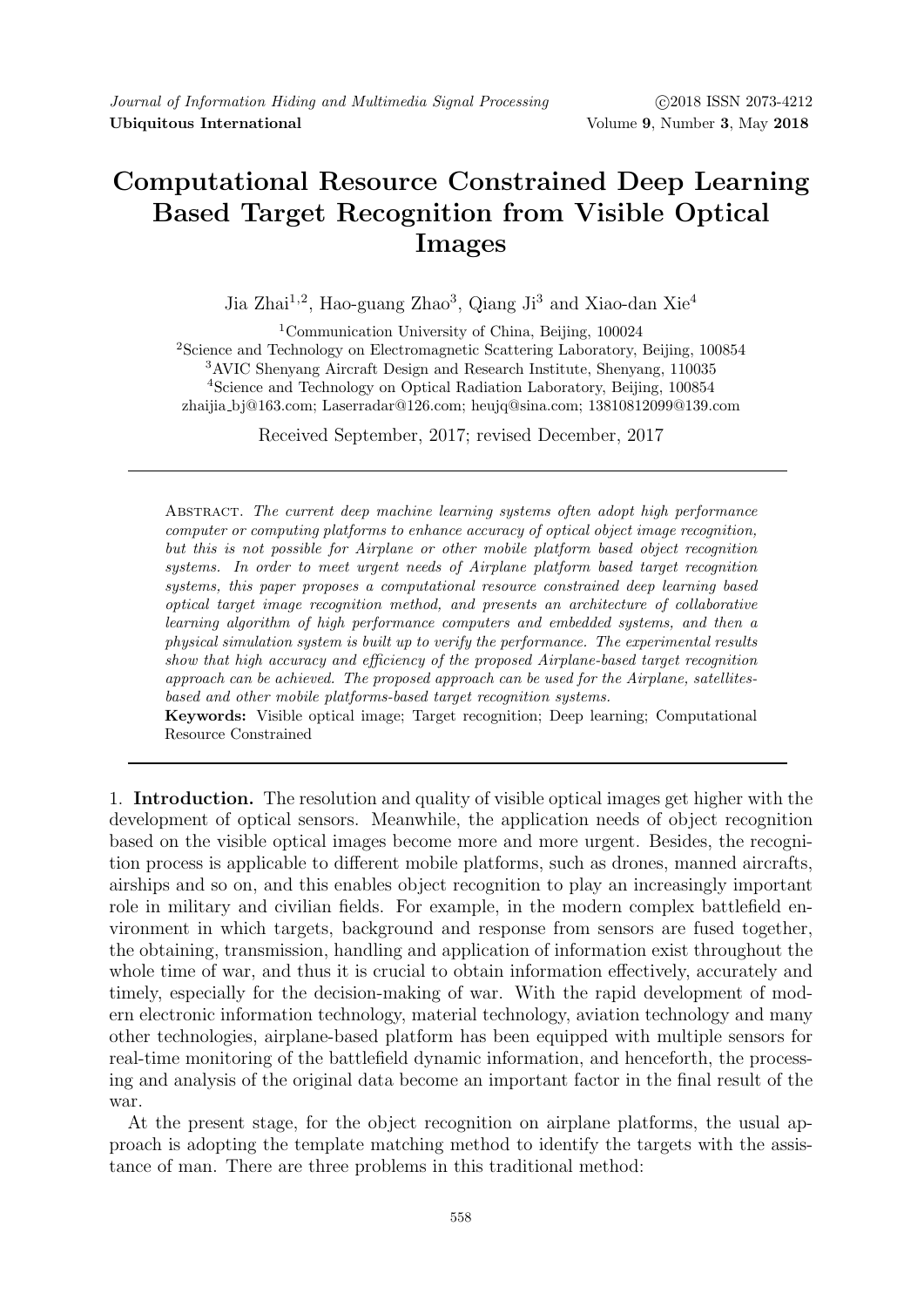## Computational Resource Constrained Deep Learning Based Target Recognition from Visible Optical Images

Jia Zhai<sup>1,2</sup>, Hao-guang Zhao<sup>3</sup>, Qiang Ji<sup>3</sup> and Xiao-dan Xie<sup>4</sup>

<sup>1</sup>Communication University of China, Beijing,  $100024$ <sup>2</sup>Science and Technology on Electromagnetic Scattering Laboratory, Beijing, 100854 <sup>3</sup>AVIC Shenyang Aircraft Design and Research Institute, Shenyang, 110035 <sup>4</sup>Science and Technology on Optical Radiation Laboratory, Beijing, 100854 zhaijia bj@163.com; Laserradar@126.com; heujq@sina.com; 13810812099@139.com

Received September, 2017; revised December, 2017

Abstract. The current deep machine learning systems often adopt high performance computer or computing platforms to enhance accuracy of optical object image recognition, but this is not possible for Airplane or other mobile platform based object recognition systems. In order to meet urgent needs of Airplane platform based target recognition systems, this paper proposes a computational resource constrained deep learning based optical target image recognition method, and presents an architecture of collaborative learning algorithm of high performance computers and embedded systems, and then a physical simulation system is built up to verify the performance. The experimental results show that high accuracy and efficiency of the proposed Airplane-based target recognition approach can be achieved. The proposed approach can be used for the Airplane, satellitesbased and other mobile platforms-based target recognition systems.

Keywords: Visible optical image; Target recognition; Deep learning; Computational Resource Constrained

1. Introduction. The resolution and quality of visible optical images get higher with the development of optical sensors. Meanwhile, the application needs of object recognition based on the visible optical images become more and more urgent. Besides, the recognition process is applicable to different mobile platforms, such as drones, manned aircrafts, airships and so on, and this enables object recognition to play an increasingly important role in military and civilian fields. For example, in the modern complex battlefield environment in which targets, background and response from sensors are fused together, the obtaining, transmission, handling and application of information exist throughout the whole time of war, and thus it is crucial to obtain information effectively, accurately and timely, especially for the decision-making of war. With the rapid development of modern electronic information technology, material technology, aviation technology and many other technologies, airplane-based platform has been equipped with multiple sensors for real-time monitoring of the battlefield dynamic information, and henceforth, the processing and analysis of the original data become an important factor in the final result of the war.

At the present stage, for the object recognition on airplane platforms, the usual approach is adopting the template matching method to identify the targets with the assistance of man. There are three problems in this traditional method: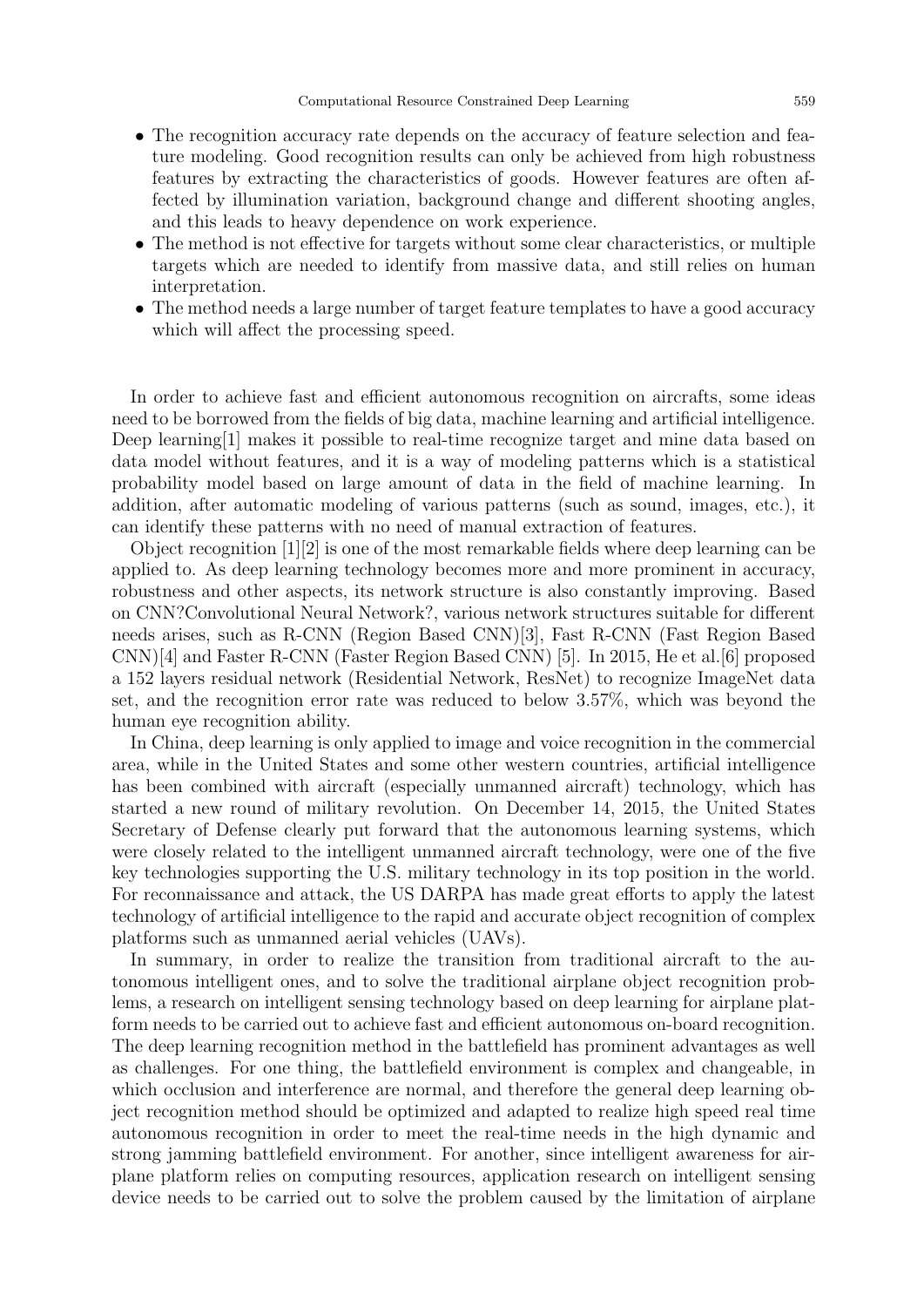- The recognition accuracy rate depends on the accuracy of feature selection and feature modeling. Good recognition results can only be achieved from high robustness features by extracting the characteristics of goods. However features are often affected by illumination variation, background change and different shooting angles, and this leads to heavy dependence on work experience.
- The method is not effective for targets without some clear characteristics, or multiple targets which are needed to identify from massive data, and still relies on human interpretation.
- The method needs a large number of target feature templates to have a good accuracy which will affect the processing speed.

In order to achieve fast and efficient autonomous recognition on aircrafts, some ideas need to be borrowed from the fields of big data, machine learning and artificial intelligence. Deep learning[1] makes it possible to real-time recognize target and mine data based on data model without features, and it is a way of modeling patterns which is a statistical probability model based on large amount of data in the field of machine learning. In addition, after automatic modeling of various patterns (such as sound, images, etc.), it can identify these patterns with no need of manual extraction of features.

Object recognition  $|1||2|$  is one of the most remarkable fields where deep learning can be applied to. As deep learning technology becomes more and more prominent in accuracy, robustness and other aspects, its network structure is also constantly improving. Based on CNN?Convolutional Neural Network?, various network structures suitable for different needs arises, such as R-CNN (Region Based CNN)[3], Fast R-CNN (Fast Region Based CNN)[4] and Faster R-CNN (Faster Region Based CNN) [5]. In 2015, He et al.[6] proposed a 152 layers residual network (Residential Network, ResNet) to recognize ImageNet data set, and the recognition error rate was reduced to below 3.57%, which was beyond the human eye recognition ability.

In China, deep learning is only applied to image and voice recognition in the commercial area, while in the United States and some other western countries, artificial intelligence has been combined with aircraft (especially unmanned aircraft) technology, which has started a new round of military revolution. On December 14, 2015, the United States Secretary of Defense clearly put forward that the autonomous learning systems, which were closely related to the intelligent unmanned aircraft technology, were one of the five key technologies supporting the U.S. military technology in its top position in the world. For reconnaissance and attack, the US DARPA has made great efforts to apply the latest technology of artificial intelligence to the rapid and accurate object recognition of complex platforms such as unmanned aerial vehicles (UAVs).

In summary, in order to realize the transition from traditional aircraft to the autonomous intelligent ones, and to solve the traditional airplane object recognition problems, a research on intelligent sensing technology based on deep learning for airplane platform needs to be carried out to achieve fast and efficient autonomous on-board recognition. The deep learning recognition method in the battlefield has prominent advantages as well as challenges. For one thing, the battlefield environment is complex and changeable, in which occlusion and interference are normal, and therefore the general deep learning object recognition method should be optimized and adapted to realize high speed real time autonomous recognition in order to meet the real-time needs in the high dynamic and strong jamming battlefield environment. For another, since intelligent awareness for airplane platform relies on computing resources, application research on intelligent sensing device needs to be carried out to solve the problem caused by the limitation of airplane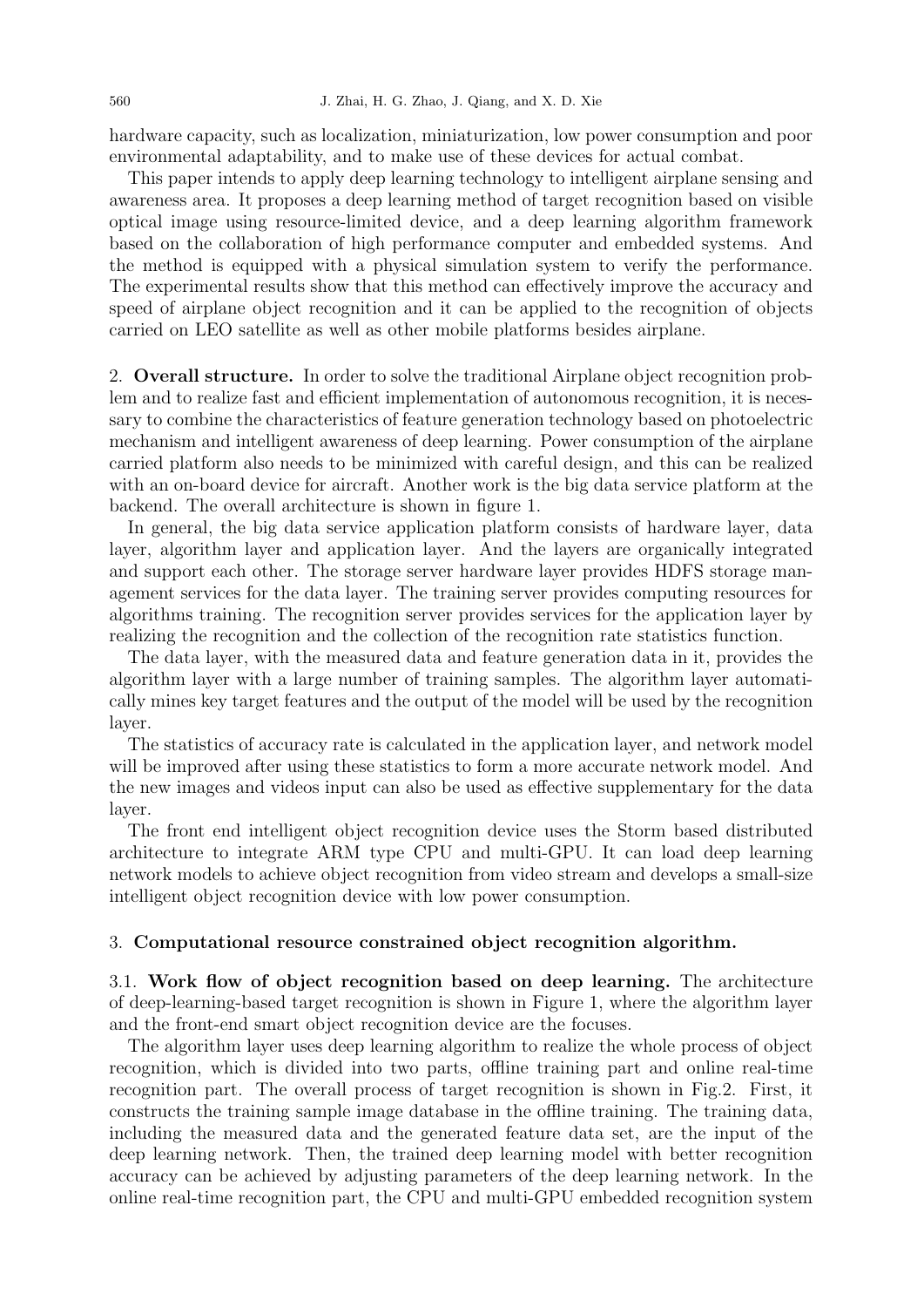hardware capacity, such as localization, miniaturization, low power consumption and poor environmental adaptability, and to make use of these devices for actual combat.

This paper intends to apply deep learning technology to intelligent airplane sensing and awareness area. It proposes a deep learning method of target recognition based on visible optical image using resource-limited device, and a deep learning algorithm framework based on the collaboration of high performance computer and embedded systems. And the method is equipped with a physical simulation system to verify the performance. The experimental results show that this method can effectively improve the accuracy and speed of airplane object recognition and it can be applied to the recognition of objects carried on LEO satellite as well as other mobile platforms besides airplane.

2. Overall structure. In order to solve the traditional Airplane object recognition problem and to realize fast and efficient implementation of autonomous recognition, it is necessary to combine the characteristics of feature generation technology based on photoelectric mechanism and intelligent awareness of deep learning. Power consumption of the airplane carried platform also needs to be minimized with careful design, and this can be realized with an on-board device for aircraft. Another work is the big data service platform at the backend. The overall architecture is shown in figure 1.

In general, the big data service application platform consists of hardware layer, data layer, algorithm layer and application layer. And the layers are organically integrated and support each other. The storage server hardware layer provides HDFS storage management services for the data layer. The training server provides computing resources for algorithms training. The recognition server provides services for the application layer by realizing the recognition and the collection of the recognition rate statistics function.

The data layer, with the measured data and feature generation data in it, provides the algorithm layer with a large number of training samples. The algorithm layer automatically mines key target features and the output of the model will be used by the recognition layer.

The statistics of accuracy rate is calculated in the application layer, and network model will be improved after using these statistics to form a more accurate network model. And the new images and videos input can also be used as effective supplementary for the data layer.

The front end intelligent object recognition device uses the Storm based distributed architecture to integrate ARM type CPU and multi-GPU. It can load deep learning network models to achieve object recognition from video stream and develops a small-size intelligent object recognition device with low power consumption.

## 3. Computational resource constrained object recognition algorithm.

3.1. Work flow of object recognition based on deep learning. The architecture of deep-learning-based target recognition is shown in Figure 1, where the algorithm layer and the front-end smart object recognition device are the focuses.

The algorithm layer uses deep learning algorithm to realize the whole process of object recognition, which is divided into two parts, offline training part and online real-time recognition part. The overall process of target recognition is shown in Fig.2. First, it constructs the training sample image database in the offline training. The training data, including the measured data and the generated feature data set, are the input of the deep learning network. Then, the trained deep learning model with better recognition accuracy can be achieved by adjusting parameters of the deep learning network. In the online real-time recognition part, the CPU and multi-GPU embedded recognition system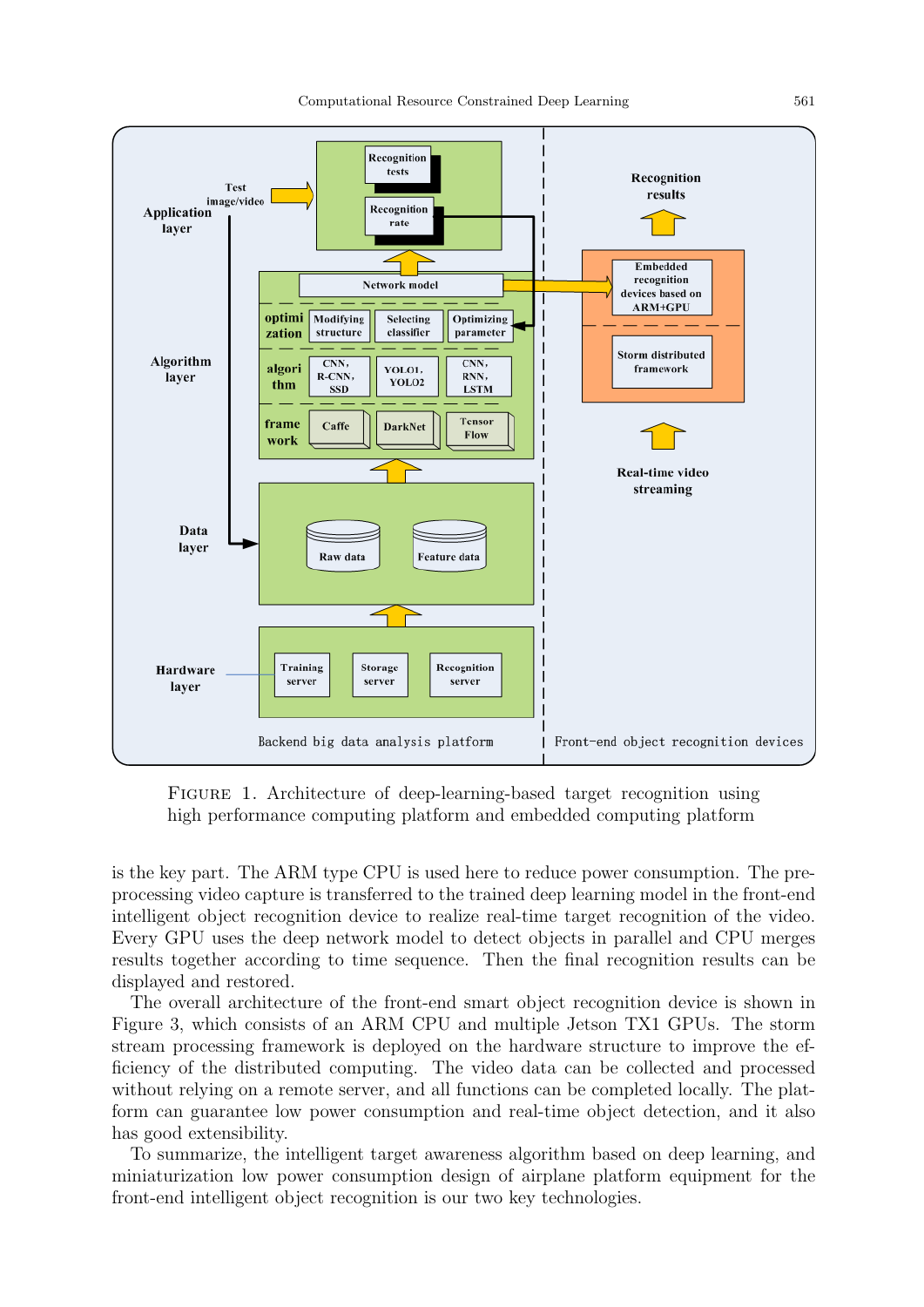

Figure 1. Architecture of deep-learning-based target recognition using high performance computing platform and embedded computing platform

is the key part. The ARM type CPU is used here to reduce power consumption. The preprocessing video capture is transferred to the trained deep learning model in the front-end intelligent object recognition device to realize real-time target recognition of the video. Every GPU uses the deep network model to detect objects in parallel and CPU merges results together according to time sequence. Then the final recognition results can be displayed and restored.

The overall architecture of the front-end smart object recognition device is shown in Figure 3, which consists of an ARM CPU and multiple Jetson TX1 GPUs. The storm stream processing framework is deployed on the hardware structure to improve the efficiency of the distributed computing. The video data can be collected and processed without relying on a remote server, and all functions can be completed locally. The platform can guarantee low power consumption and real-time object detection, and it also has good extensibility.

To summarize, the intelligent target awareness algorithm based on deep learning, and miniaturization low power consumption design of airplane platform equipment for the front-end intelligent object recognition is our two key technologies.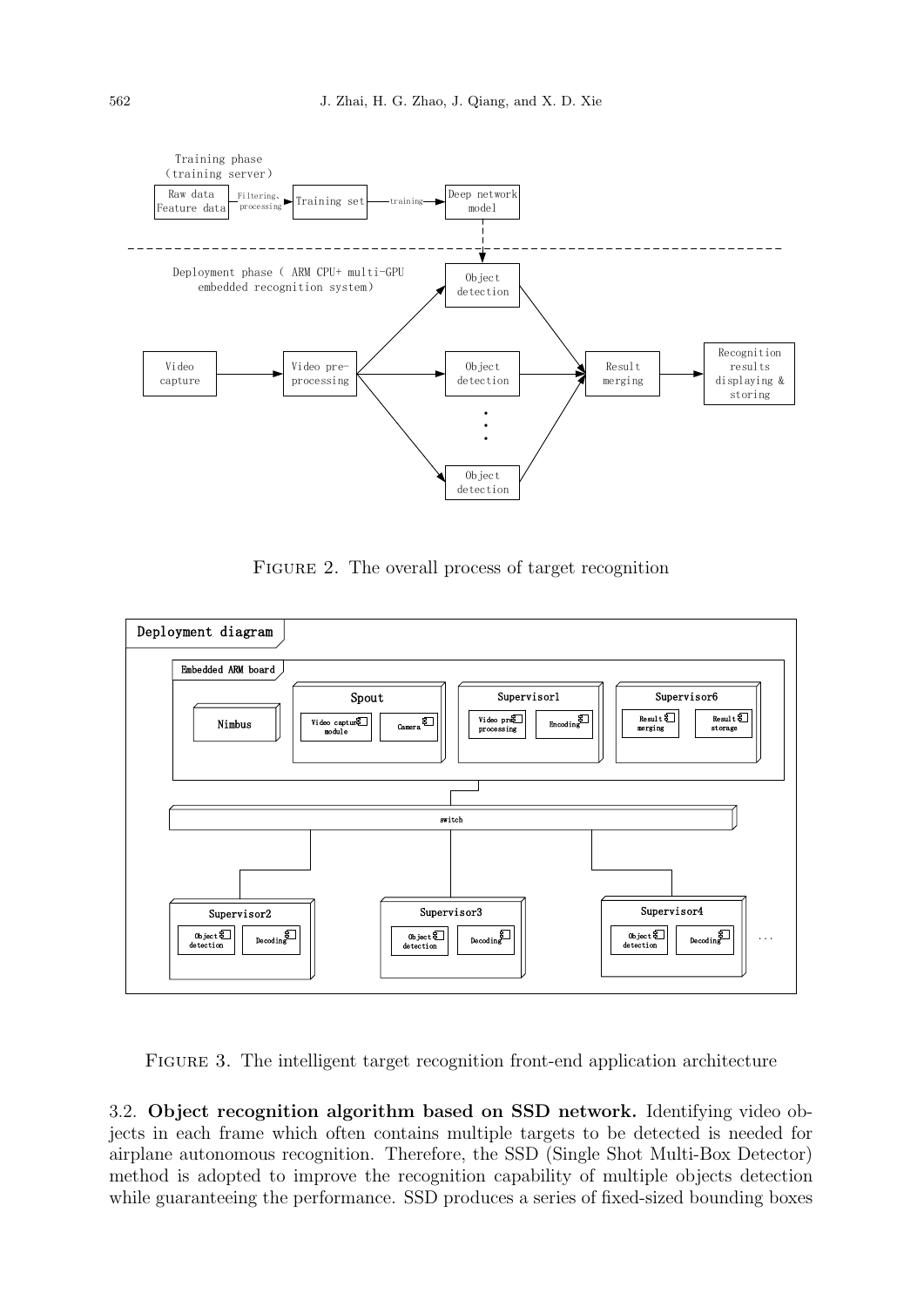

FIGURE 2. The overall process of target recognition



FIGURE 3. The intelligent target recognition front-end application architecture

3.2. Object recognition algorithm based on SSD network. Identifying video objects in each frame which often contains multiple targets to be detected is needed for airplane autonomous recognition. Therefore, the SSD (Single Shot Multi-Box Detector) method is adopted to improve the recognition capability of multiple objects detection while guaranteeing the performance. SSD produces a series of fixed-sized bounding boxes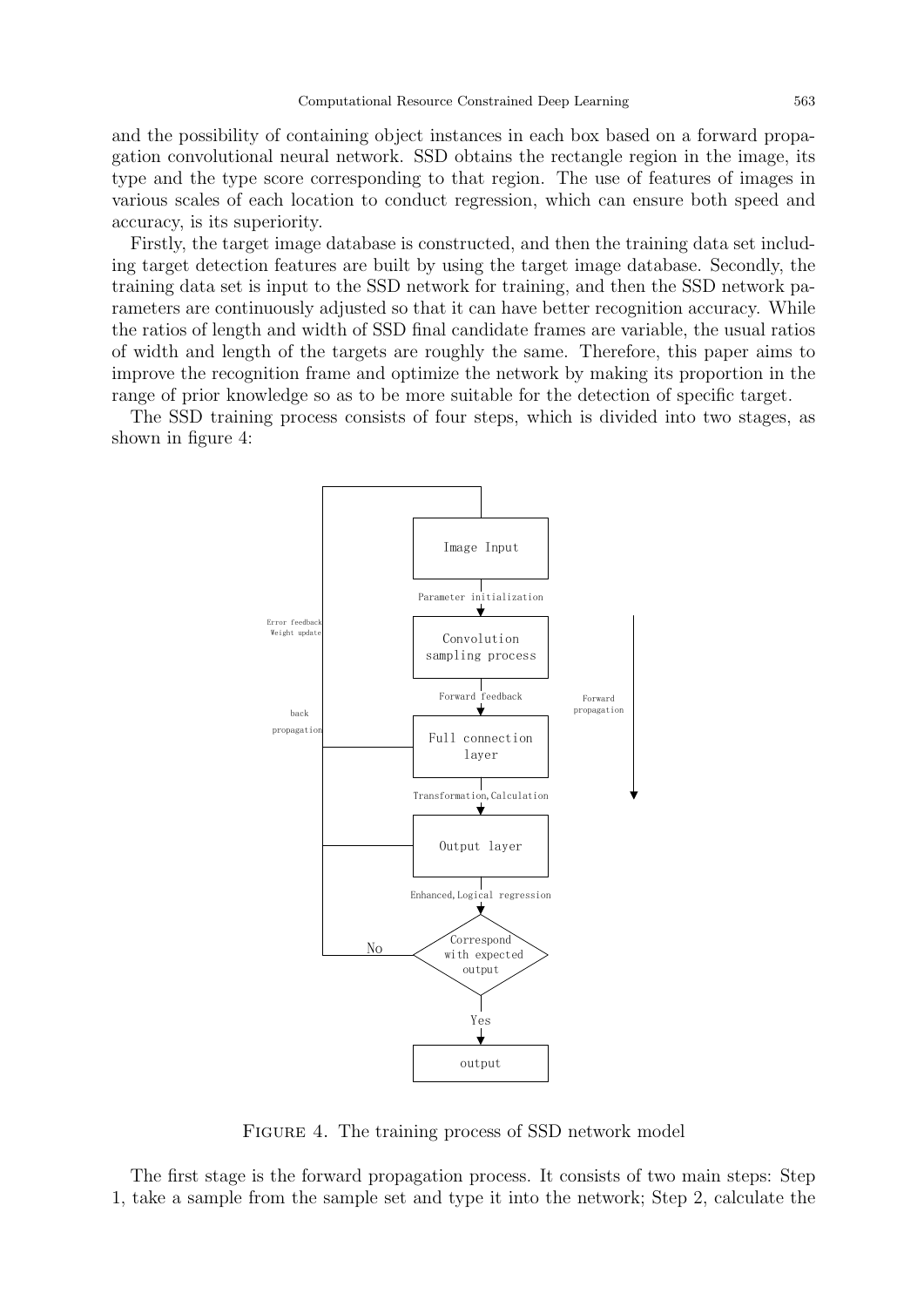and the possibility of containing object instances in each box based on a forward propagation convolutional neural network. SSD obtains the rectangle region in the image, its type and the type score corresponding to that region. The use of features of images in various scales of each location to conduct regression, which can ensure both speed and accuracy, is its superiority.

Firstly, the target image database is constructed, and then the training data set including target detection features are built by using the target image database. Secondly, the training data set is input to the SSD network for training, and then the SSD network parameters are continuously adjusted so that it can have better recognition accuracy. While the ratios of length and width of SSD final candidate frames are variable, the usual ratios of width and length of the targets are roughly the same. Therefore, this paper aims to improve the recognition frame and optimize the network by making its proportion in the range of prior knowledge so as to be more suitable for the detection of specific target.

The SSD training process consists of four steps, which is divided into two stages, as shown in figure 4:



Figure 4. The training process of SSD network model

The first stage is the forward propagation process. It consists of two main steps: Step 1, take a sample from the sample set and type it into the network; Step 2, calculate the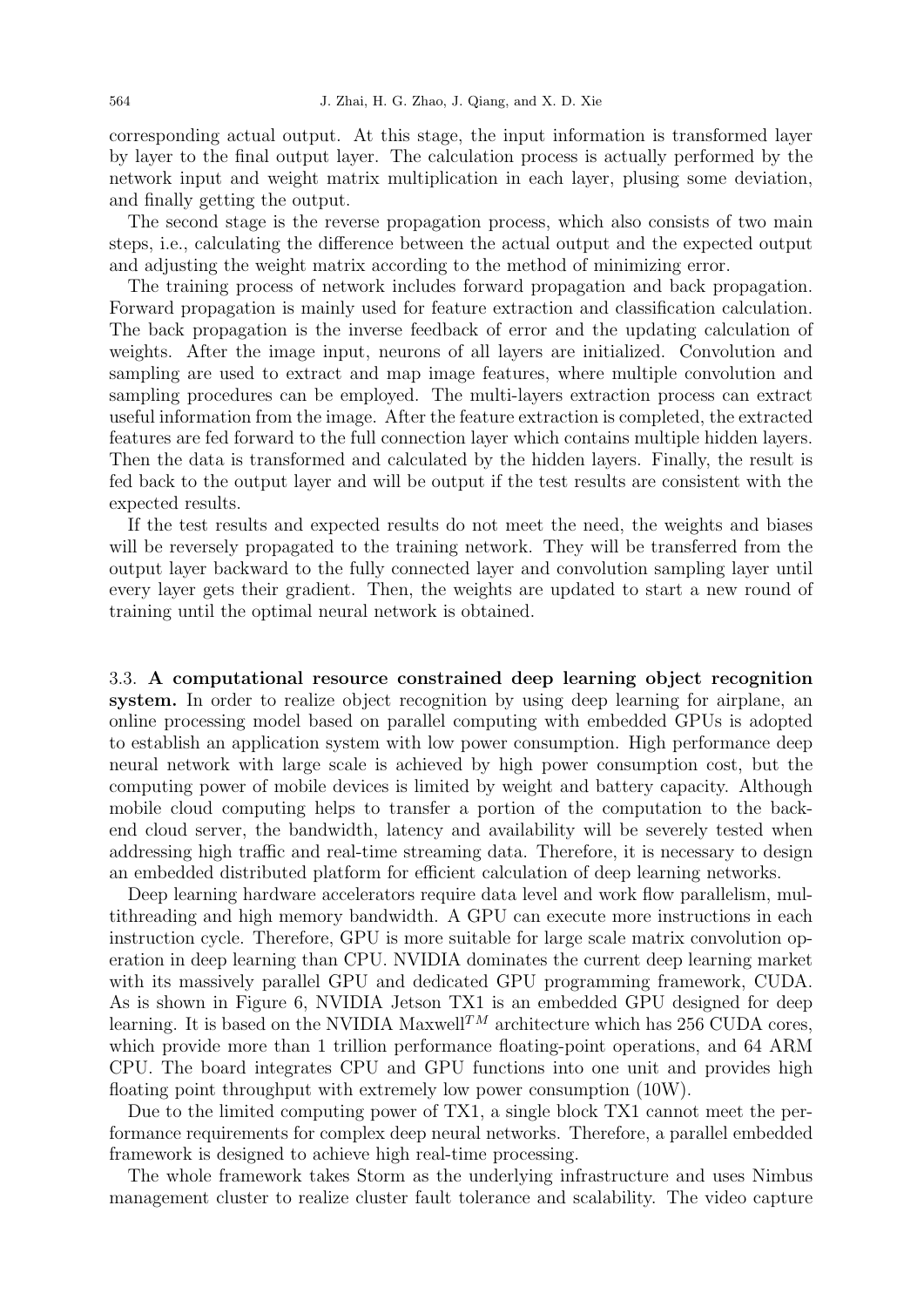corresponding actual output. At this stage, the input information is transformed layer by layer to the final output layer. The calculation process is actually performed by the network input and weight matrix multiplication in each layer, plusing some deviation, and finally getting the output.

The second stage is the reverse propagation process, which also consists of two main steps, i.e., calculating the difference between the actual output and the expected output and adjusting the weight matrix according to the method of minimizing error.

The training process of network includes forward propagation and back propagation. Forward propagation is mainly used for feature extraction and classification calculation. The back propagation is the inverse feedback of error and the updating calculation of weights. After the image input, neurons of all layers are initialized. Convolution and sampling are used to extract and map image features, where multiple convolution and sampling procedures can be employed. The multi-layers extraction process can extract useful information from the image. After the feature extraction is completed, the extracted features are fed forward to the full connection layer which contains multiple hidden layers. Then the data is transformed and calculated by the hidden layers. Finally, the result is fed back to the output layer and will be output if the test results are consistent with the expected results.

If the test results and expected results do not meet the need, the weights and biases will be reversely propagated to the training network. They will be transferred from the output layer backward to the fully connected layer and convolution sampling layer until every layer gets their gradient. Then, the weights are updated to start a new round of training until the optimal neural network is obtained.

3.3. A computational resource constrained deep learning object recognition system. In order to realize object recognition by using deep learning for airplane, an online processing model based on parallel computing with embedded GPUs is adopted to establish an application system with low power consumption. High performance deep neural network with large scale is achieved by high power consumption cost, but the computing power of mobile devices is limited by weight and battery capacity. Although mobile cloud computing helps to transfer a portion of the computation to the backend cloud server, the bandwidth, latency and availability will be severely tested when addressing high traffic and real-time streaming data. Therefore, it is necessary to design an embedded distributed platform for efficient calculation of deep learning networks.

Deep learning hardware accelerators require data level and work flow parallelism, multithreading and high memory bandwidth. A GPU can execute more instructions in each instruction cycle. Therefore, GPU is more suitable for large scale matrix convolution operation in deep learning than CPU. NVIDIA dominates the current deep learning market with its massively parallel GPU and dedicated GPU programming framework, CUDA. As is shown in Figure 6, NVIDIA Jetson TX1 is an embedded GPU designed for deep learning. It is based on the NVIDIA Maxwell<sup>TM</sup> architecture which has 256 CUDA cores, which provide more than 1 trillion performance floating-point operations, and 64 ARM CPU. The board integrates CPU and GPU functions into one unit and provides high floating point throughput with extremely low power consumption (10W).

Due to the limited computing power of TX1, a single block TX1 cannot meet the performance requirements for complex deep neural networks. Therefore, a parallel embedded framework is designed to achieve high real-time processing.

The whole framework takes Storm as the underlying infrastructure and uses Nimbus management cluster to realize cluster fault tolerance and scalability. The video capture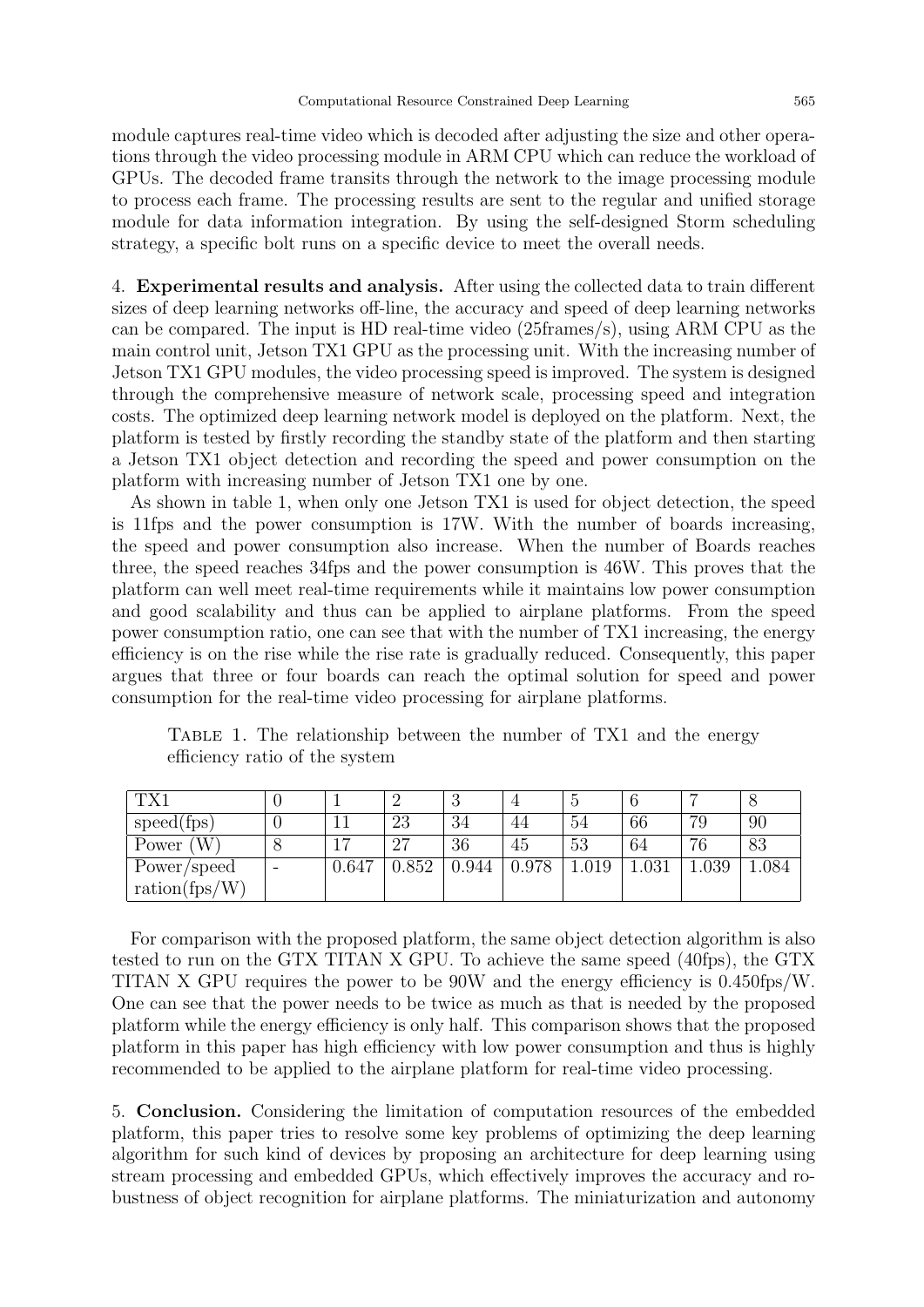module captures real-time video which is decoded after adjusting the size and other operations through the video processing module in ARM CPU which can reduce the workload of GPUs. The decoded frame transits through the network to the image processing module to process each frame. The processing results are sent to the regular and unified storage module for data information integration. By using the self-designed Storm scheduling strategy, a specific bolt runs on a specific device to meet the overall needs.

4. Experimental results and analysis. After using the collected data to train different sizes of deep learning networks off-line, the accuracy and speed of deep learning networks can be compared. The input is HD real-time video (25frames/s), using ARM CPU as the main control unit, Jetson TX1 GPU as the processing unit. With the increasing number of Jetson TX1 GPU modules, the video processing speed is improved. The system is designed through the comprehensive measure of network scale, processing speed and integration costs. The optimized deep learning network model is deployed on the platform. Next, the platform is tested by firstly recording the standby state of the platform and then starting a Jetson TX1 object detection and recording the speed and power consumption on the platform with increasing number of Jetson TX1 one by one.

As shown in table 1, when only one Jetson TX1 is used for object detection, the speed is 11fps and the power consumption is 17W. With the number of boards increasing, the speed and power consumption also increase. When the number of Boards reaches three, the speed reaches 34fps and the power consumption is 46W. This proves that the platform can well meet real-time requirements while it maintains low power consumption and good scalability and thus can be applied to airplane platforms. From the speed power consumption ratio, one can see that with the number of TX1 increasing, the energy efficiency is on the rise while the rise rate is gradually reduced. Consequently, this paper argues that three or four boards can reach the optimal solution for speed and power consumption for the real-time video processing for airplane platforms.

|               |   |                |       | ಲ     |       |      |           |       |     |
|---------------|---|----------------|-------|-------|-------|------|-----------|-------|-----|
| speed(fps)    |   | ΠT             | 23    | 34    | 44    | 54   | 66        | 79    | 90  |
| Power $(W)$   |   | $\overline{ }$ | 27    | 36    | 45    | 53   | 64        | 76    | 83  |
| Power/speed   | - | 0.647          | 0.852 | 0.944 | 0.978 | .019 | $1.031\,$ | 1.039 | 084 |
| ration(fps/W) |   |                |       |       |       |      |           |       |     |

Table 1. The relationship between the number of TX1 and the energy efficiency ratio of the system

For comparison with the proposed platform, the same object detection algorithm is also tested to run on the GTX TITAN X GPU. To achieve the same speed (40fps), the GTX TITAN X GPU requires the power to be 90W and the energy efficiency is 0.450fps/W. One can see that the power needs to be twice as much as that is needed by the proposed platform while the energy efficiency is only half. This comparison shows that the proposed platform in this paper has high efficiency with low power consumption and thus is highly recommended to be applied to the airplane platform for real-time video processing.

5. Conclusion. Considering the limitation of computation resources of the embedded platform, this paper tries to resolve some key problems of optimizing the deep learning algorithm for such kind of devices by proposing an architecture for deep learning using stream processing and embedded GPUs, which effectively improves the accuracy and robustness of object recognition for airplane platforms. The miniaturization and autonomy